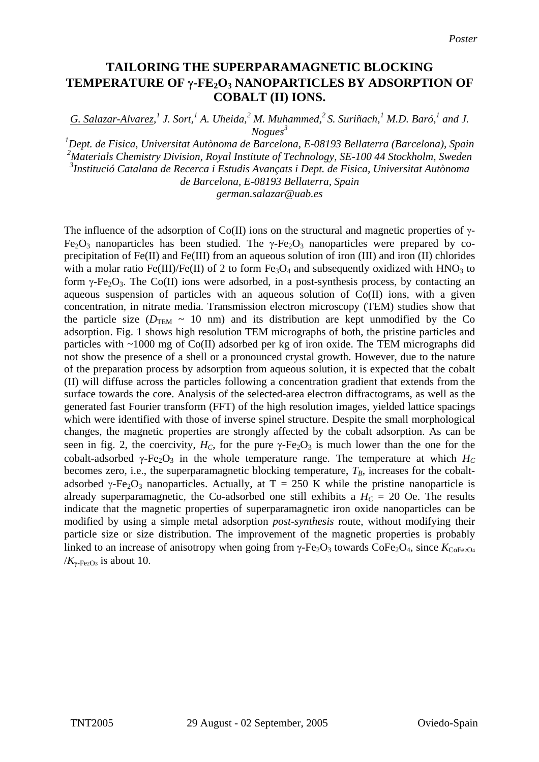## **TAILORING THE SUPERPARAMAGNETIC BLOCKING TEMPERATURE OF** γ**-FE2O3 NANOPARTICLES BY ADSORPTION OF COBALT (II) IONS.**

*G. Salazar-Alvarez,*<sup>1</sup> J. Sort,<sup>1</sup> A. Uheida,<sup>2</sup> M. Muhammed,<sup>2</sup> S. Suriñach,<sup>1</sup> M.D. Baró,<sup>1</sup> and J. *Nogues<sup>3</sup>*

 *Dept. de Fisica, Universitat Autònoma de Barcelona, E-08193 Bellaterra (Barcelona), Spain Materials Chemistry Division, Royal Institute of Technology, SE-100 44 Stockholm, Sweden Institució Catalana de Recerca i Estudis Avançats i Dept. de Fisica, Universitat Autònoma de Barcelona, E-08193 Bellaterra, Spain*

*german.salazar@uab.es* 

The influence of the adsorption of Co(II) ions on the structural and magnetic properties of  $\gamma$ -Fe<sub>2</sub>O<sub>3</sub> nanoparticles has been studied. The  $\gamma$ -Fe<sub>2</sub>O<sub>3</sub> nanoparticles were prepared by coprecipitation of Fe(II) and Fe(III) from an aqueous solution of iron (III) and iron (II) chlorides with a molar ratio Fe(III)/Fe(II) of 2 to form  $Fe<sub>3</sub>O<sub>4</sub>$  and subsequently oxidized with HNO<sub>3</sub> to form  $\gamma$ -Fe<sub>2</sub>O<sub>3</sub>. The Co(II) ions were adsorbed, in a post-synthesis process, by contacting an aqueous suspension of particles with an aqueous solution of Co(II) ions, with a given concentration, in nitrate media. Transmission electron microscopy (TEM) studies show that the particle size ( $D_{\text{TEM}} \sim 10$  nm) and its distribution are kept unmodified by the Co adsorption. Fig. 1 shows high resolution TEM micrographs of both, the pristine particles and particles with ~1000 mg of Co(II) adsorbed per kg of iron oxide. The TEM micrographs did not show the presence of a shell or a pronounced crystal growth. However, due to the nature of the preparation process by adsorption from aqueous solution, it is expected that the cobalt (II) will diffuse across the particles following a concentration gradient that extends from the surface towards the core. Analysis of the selected-area electron diffractograms, as well as the generated fast Fourier transform (FFT) of the high resolution images, yielded lattice spacings which were identified with those of inverse spinel structure. Despite the small morphological changes, the magnetic properties are strongly affected by the cobalt adsorption. As can be seen in fig. 2, the coercivity,  $H_C$ , for the pure  $\gamma$ -Fe<sub>2</sub>O<sub>3</sub> is much lower than the one for the cobalt-adsorbed  $\gamma$ -Fe<sub>2</sub>O<sub>3</sub> in the whole temperature range. The temperature at which  $H_C$ becomes zero, i.e., the superparamagnetic blocking temperature,  $T_B$ , increases for the cobaltadsorbed γ-Fe<sub>2</sub>O<sub>3</sub> nanoparticles. Actually, at T = 250 K while the pristine nanoparticle is already superparamagnetic, the Co-adsorbed one still exhibits a  $H<sub>C</sub> = 20$  Oe. The results indicate that the magnetic properties of superparamagnetic iron oxide nanoparticles can be modified by using a simple metal adsorption *post-synthesis* route, without modifying their particle size or size distribution. The improvement of the magnetic properties is probably linked to an increase of anisotropy when going from  $\gamma$ -Fe<sub>2</sub>O<sub>3</sub> towards CoFe<sub>2</sub>O<sub>4</sub>, since  $K_{\text{CoFe2O4}}$  $/K_{\gamma$ -Fe2O<sub>3</sub> is about 10.